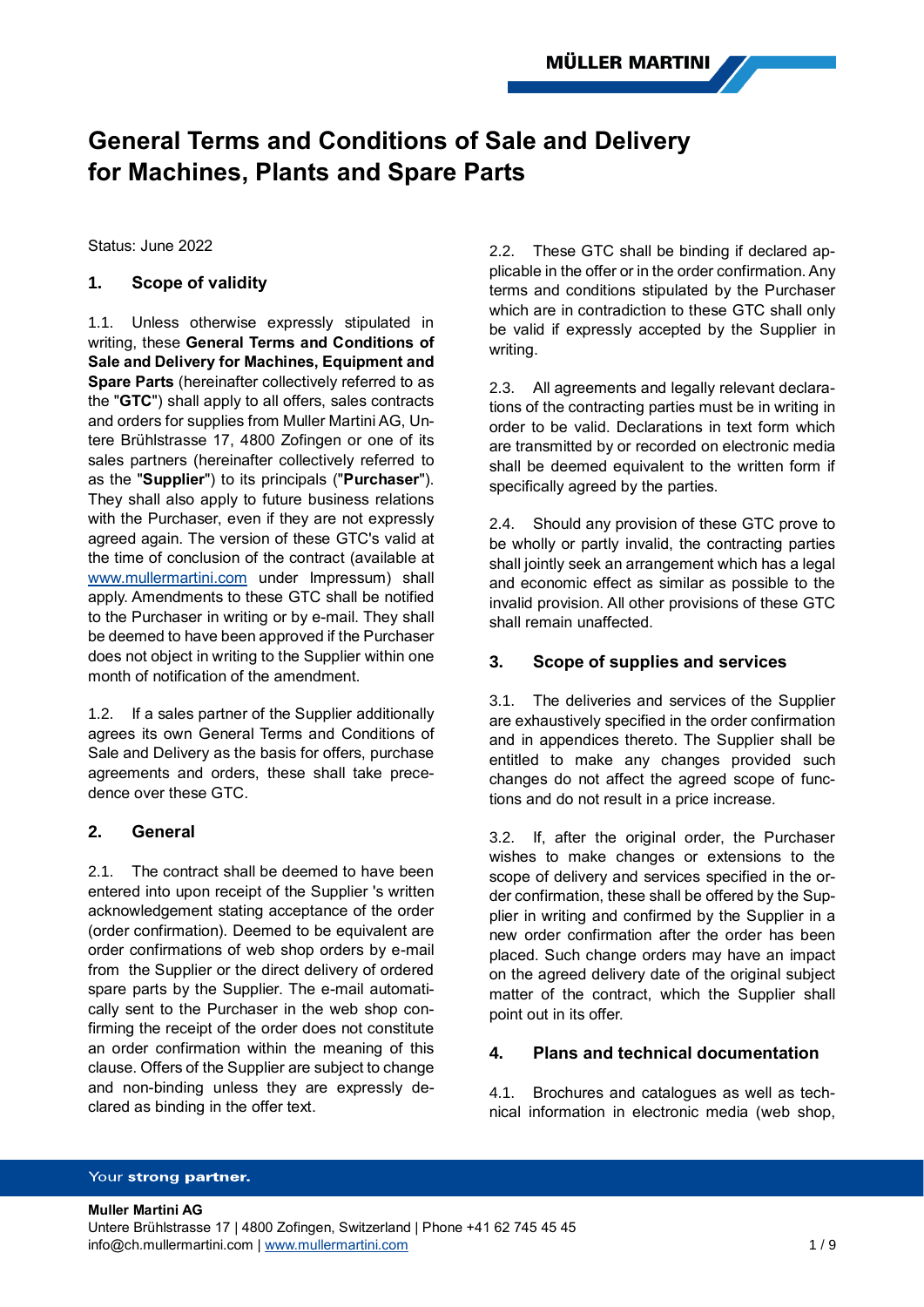# **General Terms and Conditions of Sale and Delivery for Machines, Plants and Spare Parts**

Status: June 2022

# **1. Scope of validity**

1.1. Unless otherwise expressly stipulated in writing, these **General Terms and Conditions of Sale and Delivery for Machines, Equipment and Spare Parts** (hereinafter collectively referred to as the "**GTC**") shall apply to all offers, sales contracts and orders for supplies from Muller Martini AG, Untere Brühlstrasse 17, 4800 Zofingen or one of its sales partners (hereinafter collectively referred to as the "**Supplier**") to its principals ("**Purchaser**"). They shall also apply to future business relations with the Purchaser, even if they are not expressly agreed again. The version of these GTC's valid at the time of conclusion of the contract (available at [www.mullermartini.com](http://www.mullermartini.com/) under Impressum) shall apply. Amendments to these GTC shall be notified to the Purchaser in writing or by e-mail. They shall be deemed to have been approved if the Purchaser does not object in writing to the Supplier within one month of notification of the amendment.

1.2. If a sales partner of the Supplier additionally agrees its own General Terms and Conditions of Sale and Delivery as the basis for offers, purchase agreements and orders, these shall take precedence over these GTC.

# **2. General**

2.1. The contract shall be deemed to have been entered into upon receipt of the Supplier 's written acknowledgement stating acceptance of the order (order confirmation). Deemed to be equivalent are order confirmations of web shop orders by e-mail from the Supplier or the direct delivery of ordered spare parts by the Supplier. The e-mail automatically sent to the Purchaser in the web shop confirming the receipt of the order does not constitute an order confirmation within the meaning of this clause. Offers of the Supplier are subject to change and non-binding unless they are expressly declared as binding in the offer text.

2.2. These GTC shall be binding if declared applicable in the offer or in the order confirmation. Any terms and conditions stipulated by the Purchaser which are in contradiction to these GTC shall only be valid if expressly accepted by the Supplier in writing.

2.3. All agreements and legally relevant declarations of the contracting parties must be in writing in order to be valid. Declarations in text form which are transmitted by or recorded on electronic media shall be deemed equivalent to the written form if specifically agreed by the parties.

2.4. Should any provision of these GTC prove to be wholly or partly invalid, the contracting parties shall jointly seek an arrangement which has a legal and economic effect as similar as possible to the invalid provision. All other provisions of these GTC shall remain unaffected.

# **3. Scope of supplies and services**

3.1. The deliveries and services of the Supplier are exhaustively specified in the order confirmation and in appendices thereto. The Supplier shall be entitled to make any changes provided such changes do not affect the agreed scope of functions and do not result in a price increase.

3.2. If, after the original order, the Purchaser wishes to make changes or extensions to the scope of delivery and services specified in the order confirmation, these shall be offered by the Supplier in writing and confirmed by the Supplier in a new order confirmation after the order has been placed. Such change orders may have an impact on the agreed delivery date of the original subject matter of the contract, which the Supplier shall point out in its offer.

# **4. Plans and technical documentation**

4.1. Brochures and catalogues as well as technical information in electronic media (web shop,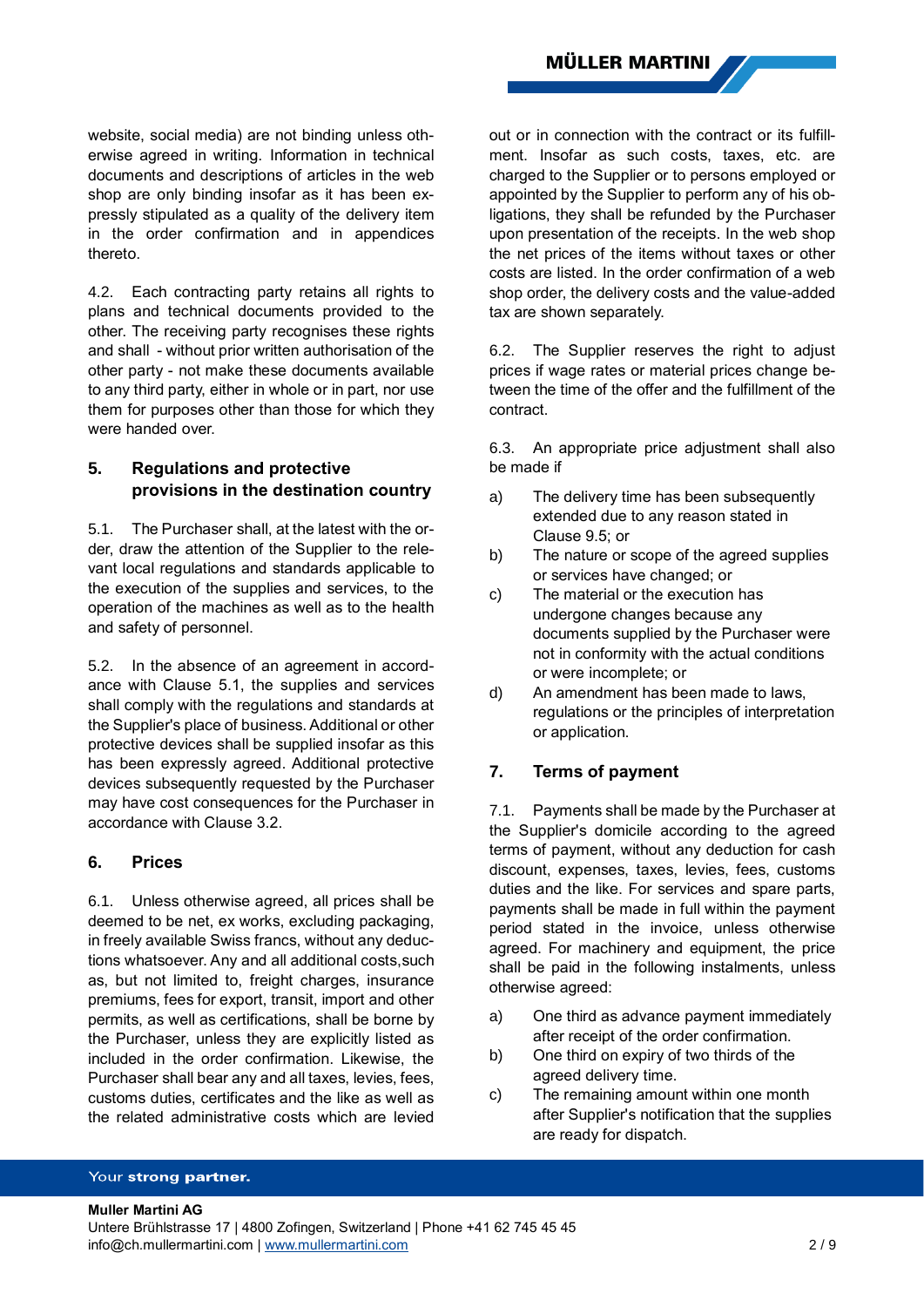website, social media) are not binding unless otherwise agreed in writing. Information in technical documents and descriptions of articles in the web shop are only binding insofar as it has been expressly stipulated as a quality of the delivery item in the order confirmation and in appendices thereto.

4.2. Each contracting party retains all rights to plans and technical documents provided to the other. The receiving party recognises these rights and shall - without prior written authorisation of the other party - not make these documents available to any third party, either in whole or in part, nor use them for purposes other than those for which they were handed over.

# **5. Regulations and protective provisions in the destination country**

5.1. The Purchaser shall, at the latest with the order, draw the attention of the Supplier to the relevant local regulations and standards applicable to the execution of the supplies and services, to the operation of the machines as well as to the health and safety of personnel.

5.2. In the absence of an agreement in accordance with Clause 5.1, the supplies and services shall comply with the regulations and standards at the Supplier's place of business. Additional or other protective devices shall be supplied insofar as this has been expressly agreed. Additional protective devices subsequently requested by the Purchaser may have cost consequences for the Purchaser in accordance with Clause 3.2.

### **6. Prices**

6.1. Unless otherwise agreed, all prices shall be deemed to be net, ex works, excluding packaging, in freely available Swiss francs, without any deductions whatsoever. Any and all additional costs,such as, but not limited to, freight charges, insurance premiums, fees for export, transit, import and other permits, as well as certifications, shall be borne by the Purchaser, unless they are explicitly listed as included in the order confirmation. Likewise, the Purchaser shall bear any and all taxes, levies, fees, customs duties, certificates and the like as well as the related administrative costs which are levied

out or in connection with the contract or its fulfillment. Insofar as such costs, taxes, etc. are charged to the Supplier or to persons employed or appointed by the Supplier to perform any of his obligations, they shall be refunded by the Purchaser upon presentation of the receipts. In the web shop the net prices of the items without taxes or other costs are listed. In the order confirmation of a web shop order, the delivery costs and the value-added tax are shown separately.

6.2. The Supplier reserves the right to adjust prices if wage rates or material prices change between the time of the offer and the fulfillment of the contract.

6.3. An appropriate price adjustment shall also be made if

- a) The delivery time has been subsequently extended due to any reason stated in Clause [9.5;](#page-3-0) or
- b) The nature or scope of the agreed supplies or services have changed; or
- c) The material or the execution has undergone changes because any documents supplied by the Purchaser were not in conformity with the actual conditions or were incomplete; or
- d) An amendment has been made to laws, regulations or the principles of interpretation or application.

# **7. Terms of payment**

7.1. Payments shall be made by the Purchaser at the Supplier's domicile according to the agreed terms of payment, without any deduction for cash discount, expenses, taxes, levies, fees, customs duties and the like. For services and spare parts, payments shall be made in full within the payment period stated in the invoice, unless otherwise agreed. For machinery and equipment, the price shall be paid in the following instalments, unless otherwise agreed:

- a) One third as advance payment immediately after receipt of the order confirmation.
- b) One third on expiry of two thirds of the agreed delivery time.
- c) The remaining amount within one month after Supplier's notification that the supplies are ready for dispatch.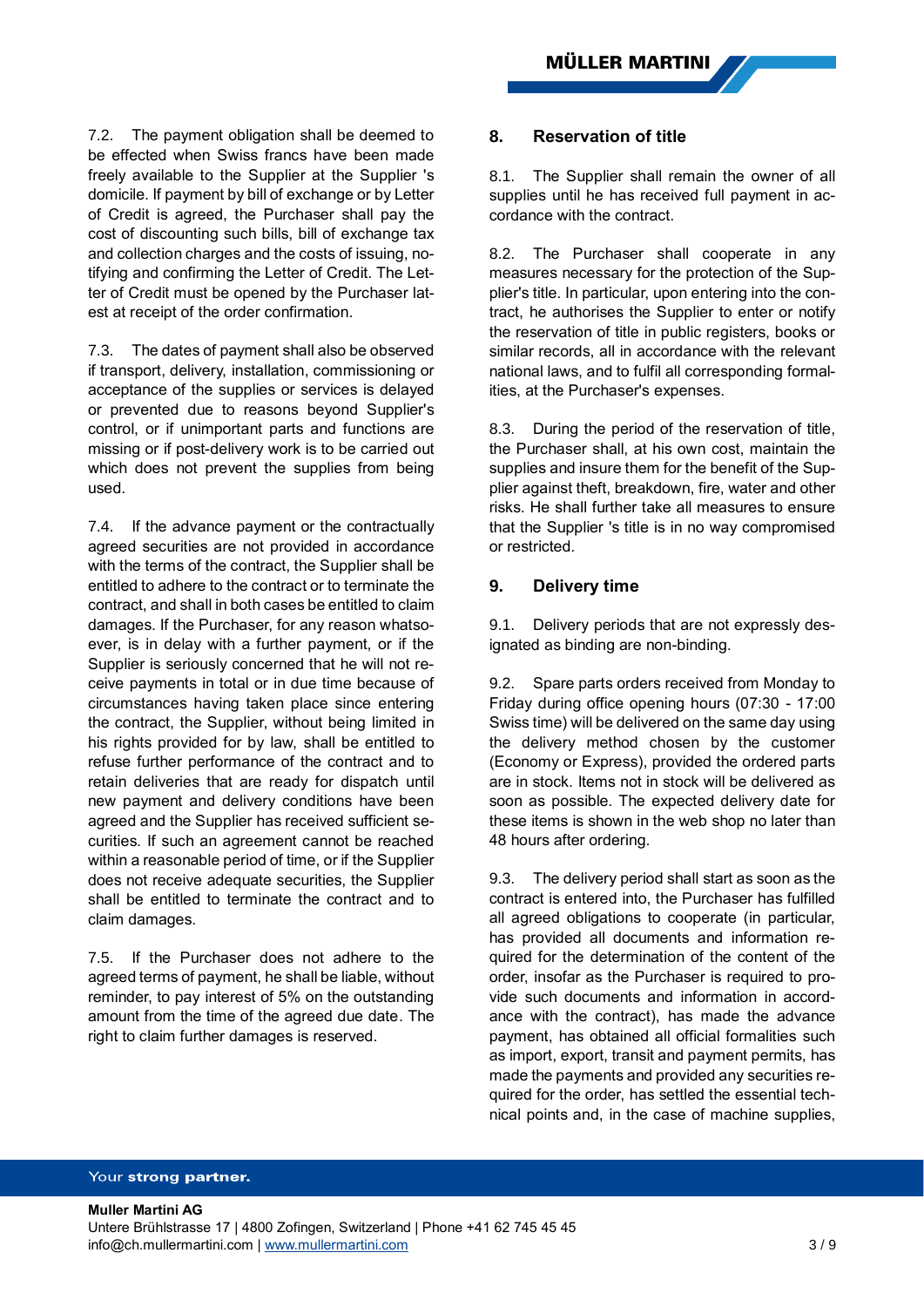7.2. The payment obligation shall be deemed to be effected when Swiss francs have been made freely available to the Supplier at the Supplier 's domicile. If payment by bill of exchange or by Letter of Credit is agreed, the Purchaser shall pay the cost of discounting such bills, bill of exchange tax and collection charges and the costs of issuing, notifying and confirming the Letter of Credit. The Letter of Credit must be opened by the Purchaser latest at receipt of the order confirmation.

7.3. The dates of payment shall also be observed if transport, delivery, installation, commissioning or acceptance of the supplies or services is delayed or prevented due to reasons beyond Supplier's control, or if unimportant parts and functions are missing or if post-delivery work is to be carried out which does not prevent the supplies from being used.

7.4. If the advance payment or the contractually agreed securities are not provided in accordance with the terms of the contract, the Supplier shall be entitled to adhere to the contract or to terminate the contract, and shall in both cases be entitled to claim damages. If the Purchaser, for any reason whatsoever, is in delay with a further payment, or if the Supplier is seriously concerned that he will not receive payments in total or in due time because of circumstances having taken place since entering the contract, the Supplier, without being limited in his rights provided for by law, shall be entitled to refuse further performance of the contract and to retain deliveries that are ready for dispatch until new payment and delivery conditions have been agreed and the Supplier has received sufficient securities. If such an agreement cannot be reached within a reasonable period of time, or if the Supplier does not receive adequate securities, the Supplier shall be entitled to terminate the contract and to claim damages.

7.5. If the Purchaser does not adhere to the agreed terms of payment, he shall be liable, without reminder, to pay interest of 5% on the outstanding amount from the time of the agreed due date. The right to claim further damages is reserved.

### **8. Reservation of title**

8.1. The Supplier shall remain the owner of all supplies until he has received full payment in accordance with the contract.

8.2. The Purchaser shall cooperate in any measures necessary for the protection of the Supplier's title. In particular, upon entering into the contract, he authorises the Supplier to enter or notify the reservation of title in public registers, books or similar records, all in accordance with the relevant national laws, and to fulfil all corresponding formalities, at the Purchaser's expenses.

8.3. During the period of the reservation of title, the Purchaser shall, at his own cost, maintain the supplies and insure them for the benefit of the Supplier against theft, breakdown, fire, water and other risks. He shall further take all measures to ensure that the Supplier 's title is in no way compromised or restricted.

### <span id="page-2-1"></span><span id="page-2-0"></span>**9. Delivery time**

9.1. Delivery periods that are not expressly designated as binding are non-binding.

9.2. Spare parts orders received from Monday to Friday during office opening hours (07:30 - 17:00 Swiss time) will be delivered on the same day using the delivery method chosen by the customer (Economy or Express), provided the ordered parts are in stock. Items not in stock will be delivered as soon as possible. The expected delivery date for these items is shown in the web shop no later than 48 hours after ordering.

9.3. The delivery period shall start as soon as the contract is entered into, the Purchaser has fulfilled all agreed obligations to cooperate (in particular, has provided all documents and information required for the determination of the content of the order, insofar as the Purchaser is required to provide such documents and information in accordance with the contract), has made the advance payment, has obtained all official formalities such as import, export, transit and payment permits, has made the payments and provided any securities required for the order, has settled the essential technical points and, in the case of machine supplies,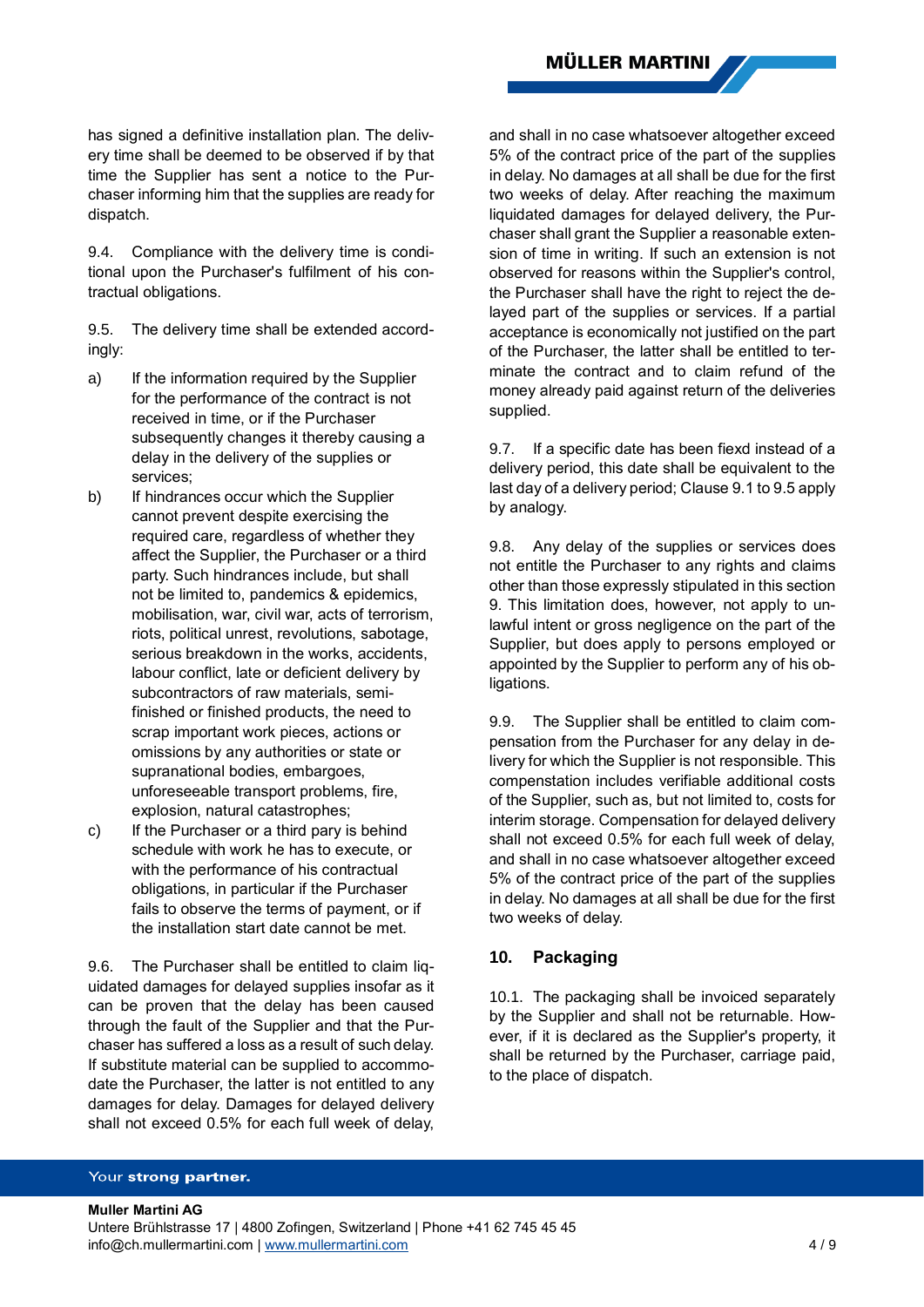**MÜLLER MARTINI** 

has signed a definitive installation plan. The delivery time shall be deemed to be observed if by that time the Supplier has sent a notice to the Purchaser informing him that the supplies are ready for dispatch.

9.4. Compliance with the delivery time is conditional upon the Purchaser's fulfilment of his contractual obligations.

<span id="page-3-0"></span>9.5. The delivery time shall be extended accordingly:

- a) If the information required by the Supplier for the performance of the contract is not received in time, or if the Purchaser subsequently changes it thereby causing a delay in the delivery of the supplies or services;
- b) If hindrances occur which the Supplier cannot prevent despite exercising the required care, regardless of whether they affect the Supplier, the Purchaser or a third party. Such hindrances include, but shall not be limited to, pandemics & epidemics, mobilisation, war, civil war, acts of terrorism, riots, political unrest, revolutions, sabotage, serious breakdown in the works, accidents, labour conflict, late or deficient delivery by subcontractors of raw materials, semifinished or finished products, the need to scrap important work pieces, actions or omissions by any authorities or state or supranational bodies, embargoes, unforeseeable transport problems, fire, explosion, natural catastrophes;
- c) If the Purchaser or a third pary is behind schedule with work he has to execute, or with the performance of his contractual obligations, in particular if the Purchaser fails to observe the terms of payment, or if the installation start date cannot be met.

9.6. The Purchaser shall be entitled to claim liquidated damages for delayed supplies insofar as it can be proven that the delay has been caused through the fault of the Supplier and that the Purchaser has suffered a loss as a result of such delay. If substitute material can be supplied to accommodate the Purchaser, the latter is not entitled to any damages for delay. Damages for delayed delivery shall not exceed 0.5% for each full week of delay,

and shall in no case whatsoever altogether exceed 5% of the contract price of the part of the supplies in delay. No damages at all shall be due for the first two weeks of delay. After reaching the maximum liquidated damages for delayed delivery, the Purchaser shall grant the Supplier a reasonable extension of time in writing. If such an extension is not observed for reasons within the Supplier's control, the Purchaser shall have the right to reject the delayed part of the supplies or services. If a partial acceptance is economically not justified on the part of the Purchaser, the latter shall be entitled to terminate the contract and to claim refund of the money already paid against return of the deliveries supplied.

9.7. If a specific date has been fiexd instead of a delivery period, this date shall be equivalent to the last day of a delivery period; Clause [9.1t](#page-2-0)[o 9.5](#page-3-0) apply by analogy.

9.8. Any delay of the supplies or services does not entitle the Purchaser to any rights and claims other than those expressly stipulated in this section [9.](#page-2-1) This limitation does, however, not apply to unlawful intent or gross negligence on the part of the Supplier, but does apply to persons employed or appointed by the Supplier to perform any of his obligations.

9.9. The Supplier shall be entitled to claim compensation from the Purchaser for any delay in delivery for which the Supplier is not responsible. This compenstation includes verifiable additional costs of the Supplier, such as, but not limited to, costs for interim storage. Compensation for delayed delivery shall not exceed 0.5% for each full week of delay, and shall in no case whatsoever altogether exceed 5% of the contract price of the part of the supplies in delay. No damages at all shall be due for the first two weeks of delay.

# **10. Packaging**

10.1. The packaging shall be invoiced separately by the Supplier and shall not be returnable. However, if it is declared as the Supplier's property, it shall be returned by the Purchaser, carriage paid, to the place of dispatch.

#### Your strong partner.

**Muller Martini AG** Untere Brühlstrasse 17 | 4800 Zofingen, Switzerland | Phone +41 62 745 45 45 info@ch.mullermartini.com [| www.mullermartini.com](http://www.mullermartini.com/) 4 / 9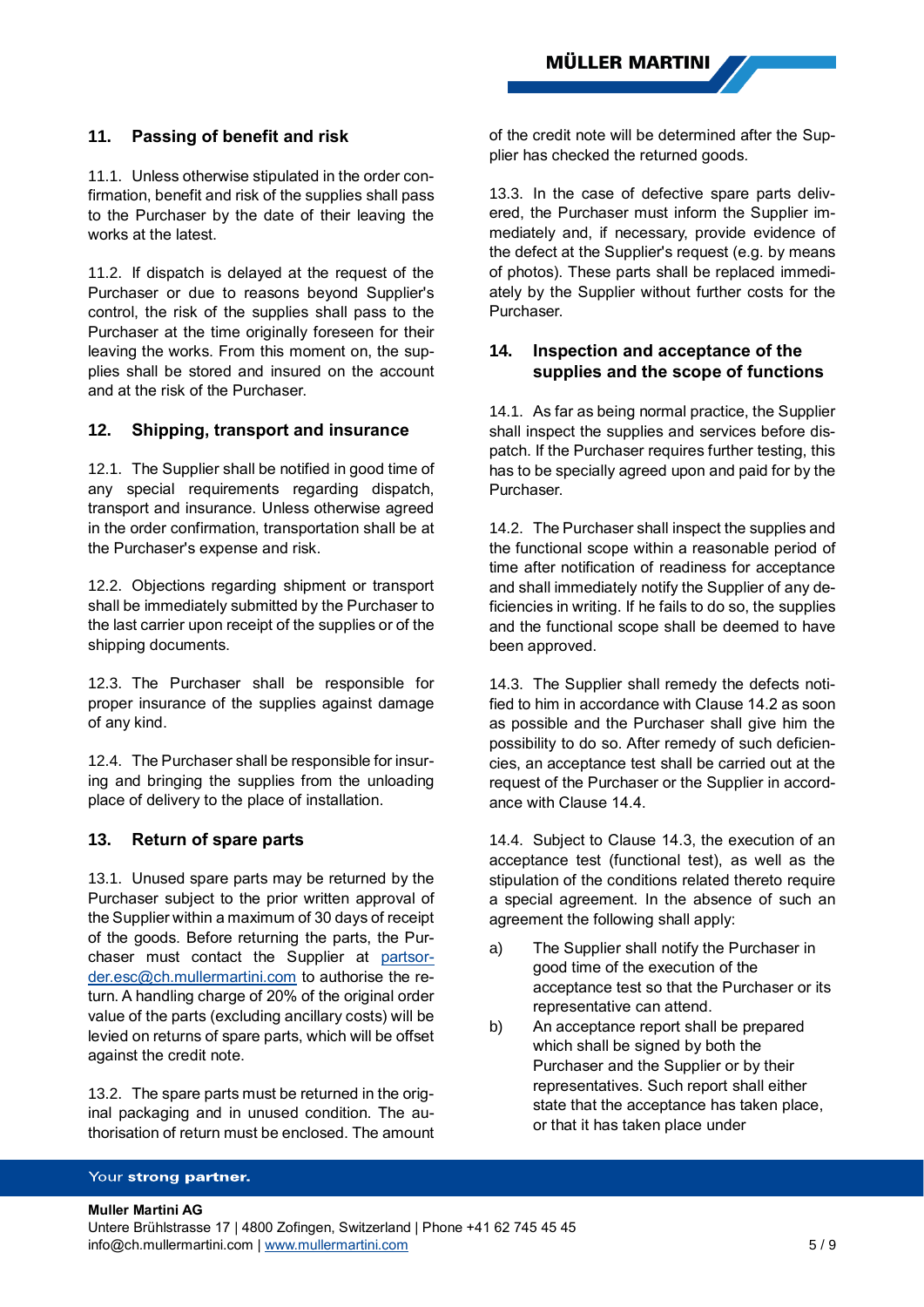# **11. Passing of benefit and risk**

11.1. Unless otherwise stipulated in the order confirmation, benefit and risk of the supplies shall pass to the Purchaser by the date of their leaving the works at the latest.

11.2. If dispatch is delayed at the request of the Purchaser or due to reasons beyond Supplier's control, the risk of the supplies shall pass to the Purchaser at the time originally foreseen for their leaving the works. From this moment on, the supplies shall be stored and insured on the account and at the risk of the Purchaser.

### **12. Shipping, transport and insurance**

12.1. The Supplier shall be notified in good time of any special requirements regarding dispatch, transport and insurance. Unless otherwise agreed in the order confirmation, transportation shall be at the Purchaser's expense and risk.

12.2. Objections regarding shipment or transport shall be immediately submitted by the Purchaser to the last carrier upon receipt of the supplies or of the shipping documents.

12.3. The Purchaser shall be responsible for proper insurance of the supplies against damage of any kind.

12.4. The Purchaser shall be responsible for insuring and bringing the supplies from the unloading place of delivery to the place of installation.

# **13. Return of spare parts**

13.1. Unused spare parts may be returned by the Purchaser subject to the prior written approval of the Supplier within a maximum of 30 days of receipt of the goods. Before returning the parts, the Purchaser must contact the Supplier at [partsor](mailto:partsor-der.esc@ch.mullermartini.com)[der.esc@ch.mullermartini.com](mailto:partsor-der.esc@ch.mullermartini.com) to authorise the return. A handling charge of 20% of the original order value of the parts (excluding ancillary costs) will be levied on returns of spare parts, which will be offset against the credit note.

13.2. The spare parts must be returned in the original packaging and in unused condition. The authorisation of return must be enclosed. The amount of the credit note will be determined after the Supplier has checked the returned goods.

13.3. In the case of defective spare parts delivered, the Purchaser must inform the Supplier immediately and, if necessary, provide evidence of the defect at the Supplier's request (e.g. by means of photos). These parts shall be replaced immediately by the Supplier without further costs for the **Purchaser** 

# **14. Inspection and acceptance of the supplies and the scope of functions**

14.1. As far as being normal practice, the Supplier shall inspect the supplies and services before dispatch. If the Purchaser requires further testing, this has to be specially agreed upon and paid for by the Purchaser.

<span id="page-4-0"></span>14.2. The Purchaser shall inspect the supplies and the functional scope within a reasonable period of time after notification of readiness for acceptance and shall immediately notify the Supplier of any deficiencies in writing. If he fails to do so, the supplies and the functional scope shall be deemed to have been approved.

<span id="page-4-2"></span>14.3. The Supplier shall remedy the defects notified to him in accordance with Clause [14.2](#page-4-0) as soon as possible and the Purchaser shall give him the possibility to do so. After remedy of such deficiencies, an acceptance test shall be carried out at the request of the Purchaser or the Supplier in accordance with Clause [14.4.](#page-4-1)

<span id="page-4-1"></span>14.4. Subject to Clause [14.3,](#page-4-2) the execution of an acceptance test (functional test), as well as the stipulation of the conditions related thereto require a special agreement. In the absence of such an agreement the following shall apply:

- a) The Supplier shall notify the Purchaser in good time of the execution of the acceptance test so that the Purchaser or its representative can attend.
- b) An acceptance report shall be prepared which shall be signed by both the Purchaser and the Supplier or by their representatives. Such report shall either state that the acceptance has taken place, or that it has taken place under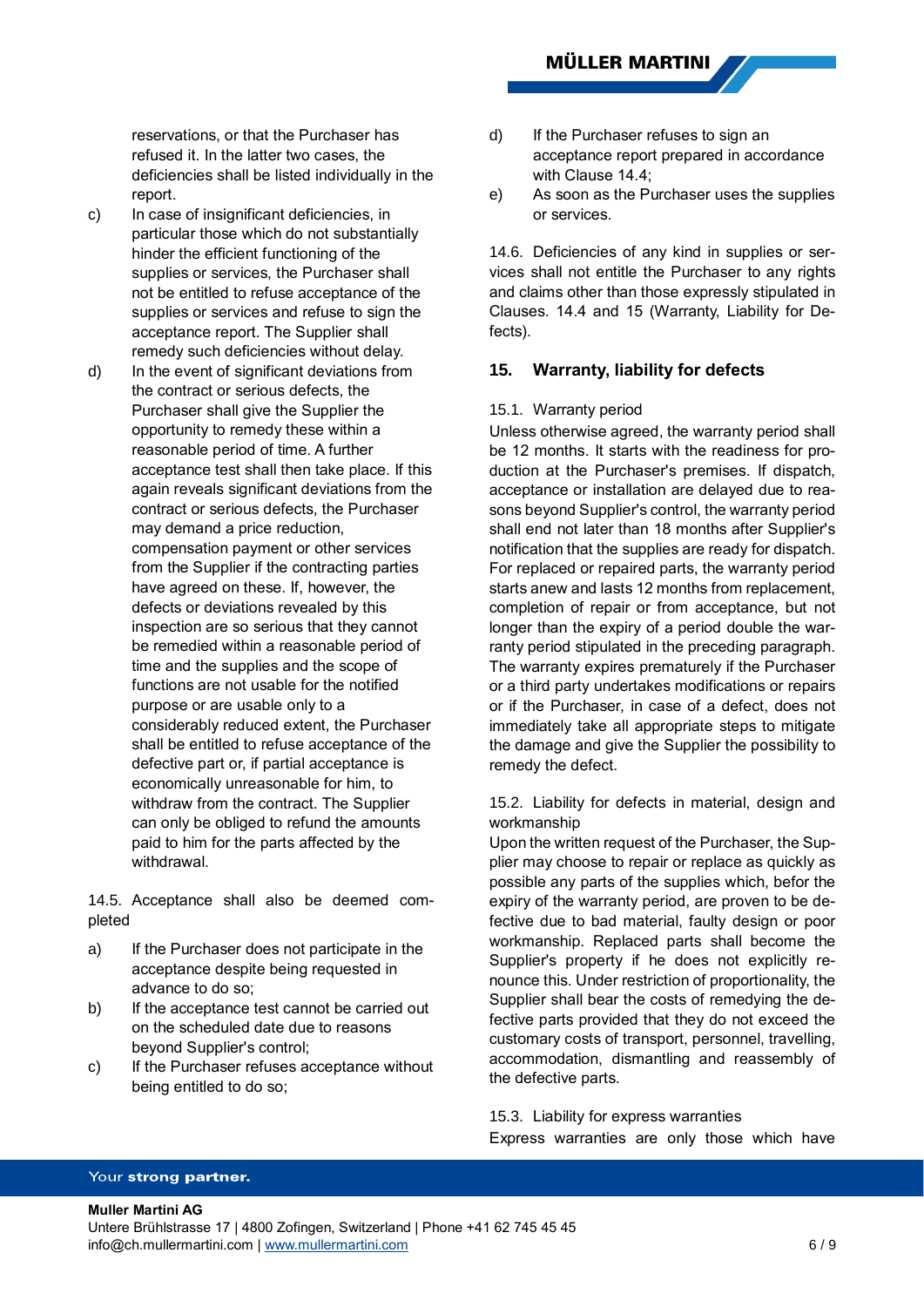reservations, or that the Purchaser has refused it. In the latter two cases, the deficiencies shall be listed individually in the report.

- c) In case of insignificant deficiencies, in particular those which do not substantially hinder the efficient functioning of the supplies or services, the Purchaser shall not be entitled to refuse acceptance of the supplies or services and refuse to sign the acceptance report. The Supplier shall remedy such deficiencies without delay.
- d) In the event of significant deviations from the contract or serious defects, the Purchaser shall give the Supplier the opportunity to remedy these within a reasonable period of time. A further acceptance test shall then take place. If this again reveals significant deviations from the contract or serious defects, the Purchaser may demand a price reduction, compensation payment or other services from the Supplier if the contracting parties have agreed on these. If, however, the defects or deviations revealed by this inspection are so serious that they cannot be remedied within a reasonable period of time and the supplies and the scope of functions are not usable for the notified purpose or are usable only to a considerably reduced extent, the Purchaser shall be entitled to refuse acceptance of the defective part or, if partial acceptance is economically unreasonable for him, to withdraw from the contract. The Supplier can only be obliged to refund the amounts paid to him for the parts affected by the withdrawal.

14.5. Acceptance shall also be deemed completed

- a) If the Purchaser does not participate in the acceptance despite being requested in advance to do so;
- b) If the acceptance test cannot be carried out on the scheduled date due to reasons beyond Supplier's control;
- c) If the Purchaser refuses acceptance without being entitled to do so;
- d) If the Purchaser refuses to sign an acceptance report prepared in accordance with Clause [14.4;](#page-4-1)
- e) As soon as the Purchaser uses the supplies or services.

14.6. Deficiencies of any kind in supplies or services shall not entitle the Purchaser to any rights and claims other than those expressly stipulated in Clauses. [14.4](#page-4-1) and [15](#page-5-0) (Warranty, Liability for Defects).

### <span id="page-5-1"></span><span id="page-5-0"></span>**15. Warranty, liability for defects**

#### 15.1. Warranty period

Unless otherwise agreed, the warranty period shall be 12 months. It starts with the readiness for production at the Purchaser's premises. If dispatch, acceptance or installation are delayed due to reasons beyond Supplier's control, the warranty period shall end not later than 18 months after Supplier's notification that the supplies are ready for dispatch. For replaced or repaired parts, the warranty period starts anew and lasts 12 months from replacement, completion of repair or from acceptance, but not longer than the expiry of a period double the warranty period stipulated in the preceding paragraph. The warranty expires prematurely if the Purchaser or a third party undertakes modifications or repairs or if the Purchaser, in case of a defect, does not immediately take all appropriate steps to mitigate the damage and give the Supplier the possibility to remedy the defect.

15.2. Liability for defects in material, design and workmanship

Upon the written request of the Purchaser, the Supplier may choose to repair or replace as quickly as possible any parts of the supplies which, befor the expiry of the warranty period, are proven to be defective due to bad material, faulty design or poor workmanship. Replaced parts shall become the Supplier's property if he does not explicitly renounce this. Under restriction of proportionality, the Supplier shall bear the costs of remedying the defective parts provided that they do not exceed the customary costs of transport, personnel, travelling, accommodation, dismantling and reassembly of the defective parts.

15.3. Liability for express warranties

Express warranties are only those which have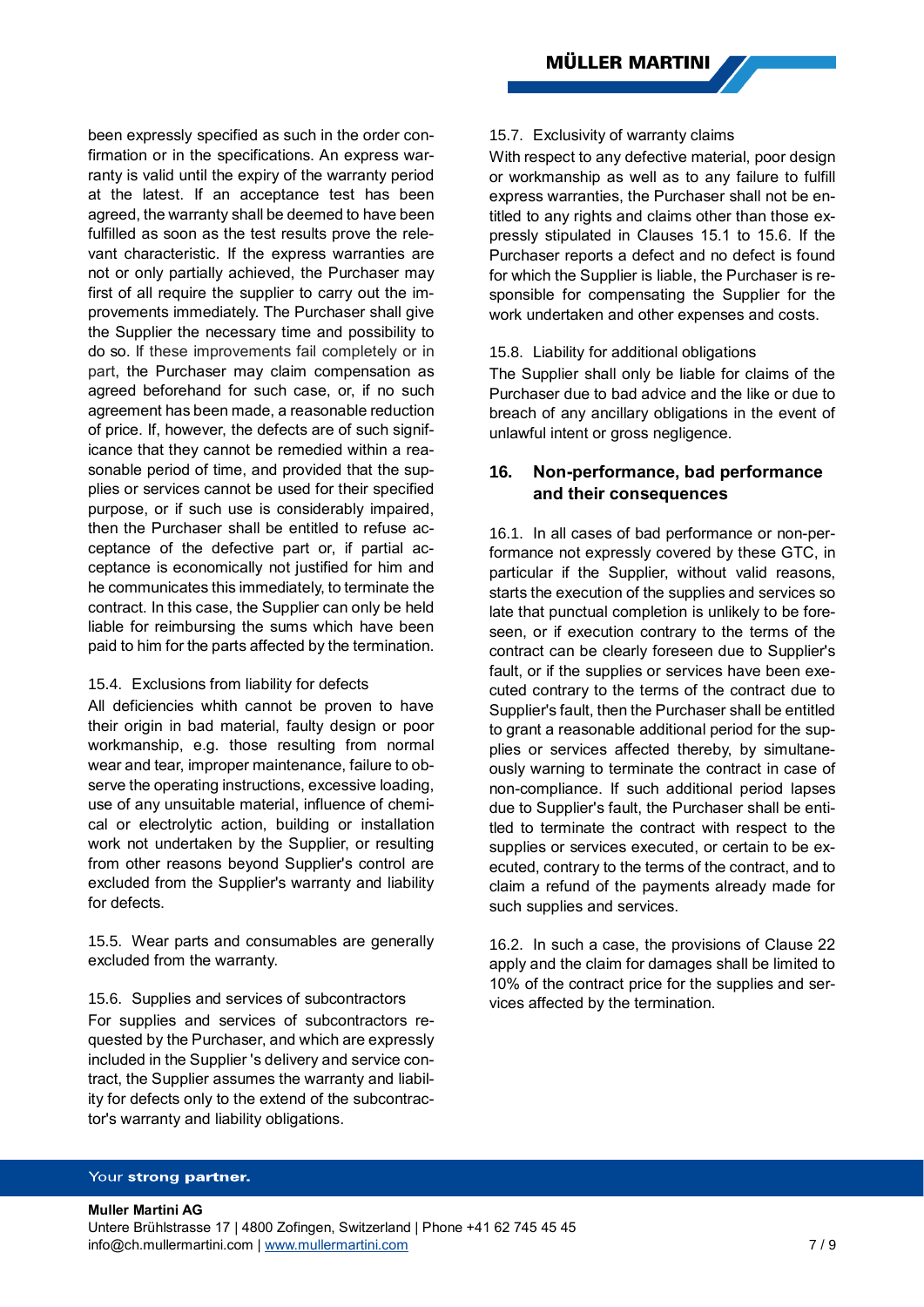been expressly specified as such in the order confirmation or in the specifications. An express warranty is valid until the expiry of the warranty period at the latest. If an acceptance test has been agreed, the warranty shall be deemed to have been fulfilled as soon as the test results prove the relevant characteristic. If the express warranties are not or only partially achieved, the Purchaser may first of all require the supplier to carry out the improvements immediately. The Purchaser shall give the Supplier the necessary time and possibility to do so. If these improvements fail completely or in part, the Purchaser may claim compensation as agreed beforehand for such case, or, if no such agreement has been made, a reasonable reduction of price. If, however, the defects are of such significance that they cannot be remedied within a reasonable period of time, and provided that the supplies or services cannot be used for their specified purpose, or if such use is considerably impaired, then the Purchaser shall be entitled to refuse acceptance of the defective part or, if partial acceptance is economically not justified for him and he communicates this immediately, to terminate the contract. In this case, the Supplier can only be held liable for reimbursing the sums which have been paid to him for the parts affected by the termination.

### 15.4. Exclusions from liability for defects

All deficiencies whith cannot be proven to have their origin in bad material, faulty design or poor workmanship, e.g. those resulting from normal wear and tear, improper maintenance, failure to observe the operating instructions, excessive loading, use of any unsuitable material, influence of chemical or electrolytic action, building or installation work not undertaken by the Supplier, or resulting from other reasons beyond Supplier's control are excluded from the Supplier's warranty and liability for defects.

15.5. Wear parts and consumables are generally excluded from the warranty.

<span id="page-6-0"></span>15.6. Supplies and services of subcontractors For supplies and services of subcontractors requested by the Purchaser, and which are expressly included in the Supplier 's delivery and service contract, the Supplier assumes the warranty and liability for defects only to the extend of the subcontractor's warranty and liability obligations.

#### 15.7. Exclusivity of warranty claims

With respect to any defective material, poor design or workmanship as well as to any failure to fulfill express warranties, the Purchaser shall not be entitled to any rights and claims other than those expressly stipulated in Clauses [15.1](#page-5-1) to [15.6.](#page-6-0) If the Purchaser reports a defect and no defect is found for which the Supplier is liable, the Purchaser is responsible for compensating the Supplier for the work undertaken and other expenses and costs.

#### 15.8. Liability for additional obligations

The Supplier shall only be liable for claims of the Purchaser due to bad advice and the like or due to breach of any ancillary obligations in the event of unlawful intent or gross negligence.

# **16. Non-performance, bad performance and their consequences**

16.1. In all cases of bad performance or non-performance not expressly covered by these GTC, in particular if the Supplier, without valid reasons, starts the execution of the supplies and services so late that punctual completion is unlikely to be foreseen, or if execution contrary to the terms of the contract can be clearly foreseen due to Supplier's fault, or if the supplies or services have been executed contrary to the terms of the contract due to Supplier's fault, then the Purchaser shall be entitled to grant a reasonable additional period for the supplies or services affected thereby, by simultaneously warning to terminate the contract in case of non-compliance. If such additional period lapses due to Supplier's fault, the Purchaser shall be entitled to terminate the contract with respect to the supplies or services executed, or certain to be executed, contrary to the terms of the contract, and to claim a refund of the payments already made for such supplies and services.

16.2. In such a case, the provisions of Clause [22](#page-8-0) apply and the claim for damages shall be limited to 10% of the contract price for the supplies and services affected by the termination.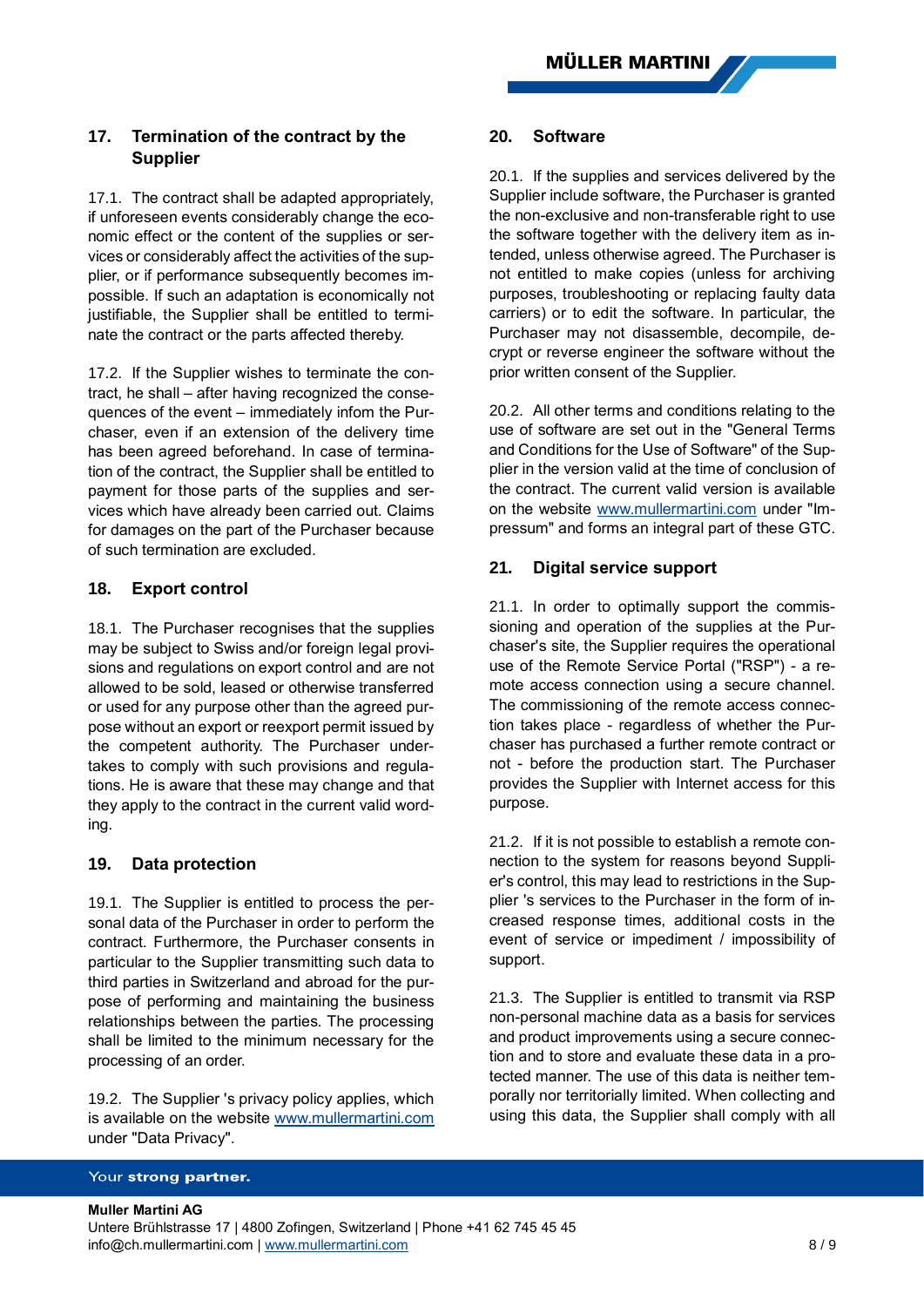# **17. Termination of the contract by the Supplier**

17.1. The contract shall be adapted appropriately, if unforeseen events considerably change the economic effect or the content of the supplies or services or considerably affect the activities of the supplier, or if performance subsequently becomes impossible. If such an adaptation is economically not justifiable, the Supplier shall be entitled to terminate the contract or the parts affected thereby.

17.2. If the Supplier wishes to terminate the contract, he shall – after having recognized the consequences of the event – immediately infom the Purchaser, even if an extension of the delivery time has been agreed beforehand. In case of termination of the contract, the Supplier shall be entitled to payment for those parts of the supplies and services which have already been carried out. Claims for damages on the part of the Purchaser because of such termination are excluded.

# **18. Export control**

18.1. The Purchaser recognises that the supplies may be subject to Swiss and/or foreign legal provisions and regulations on export control and are not allowed to be sold, leased or otherwise transferred or used for any purpose other than the agreed purpose without an export or reexport permit issued by the competent authority. The Purchaser undertakes to comply with such provisions and regulations. He is aware that these may change and that they apply to the contract in the current valid wording.

# **19. Data protection**

19.1. The Supplier is entitled to process the personal data of the Purchaser in order to perform the contract. Furthermore, the Purchaser consents in particular to the Supplier transmitting such data to third parties in Switzerland and abroad for the purpose of performing and maintaining the business relationships between the parties. The processing shall be limited to the minimum necessary for the processing of an order.

<span id="page-7-0"></span>19.2. The Supplier 's privacy policy applies, which is available on the website [www.mullermartini.com](http://www.mullermartini.com/) under "Data Privacy".

### **20. Software**

20.1. If the supplies and services delivered by the Supplier include software, the Purchaser is granted the non-exclusive and non-transferable right to use the software together with the delivery item as intended, unless otherwise agreed. The Purchaser is not entitled to make copies (unless for archiving purposes, troubleshooting or replacing faulty data carriers) or to edit the software. In particular, the Purchaser may not disassemble, decompile, decrypt or reverse engineer the software without the prior written consent of the Supplier.

20.2. All other terms and conditions relating to the use of software are set out in the "General Terms and Conditions for the Use of Software" of the Supplier in the version valid at the time of conclusion of the contract. The current valid version is available on the website [www.mullermartini.com](http://www.mullermartini.com/) under "Impressum" and forms an integral part of these GTC.

# **21. Digital service support**

21.1. In order to optimally support the commissioning and operation of the supplies at the Purchaser's site, the Supplier requires the operational use of the Remote Service Portal ("RSP") - a remote access connection using a secure channel. The commissioning of the remote access connection takes place - regardless of whether the Purchaser has purchased a further remote contract or not - before the production start. The Purchaser provides the Supplier with Internet access for this purpose.

21.2. If it is not possible to establish a remote connection to the system for reasons beyond Supplier's control, this may lead to restrictions in the Supplier 's services to the Purchaser in the form of increased response times, additional costs in the event of service or impediment / impossibility of support.

21.3. The Supplier is entitled to transmit via RSP non-personal machine data as a basis for services and product improvements using a secure connection and to store and evaluate these data in a protected manner. The use of this data is neither temporally nor territorially limited. When collecting and using this data, the Supplier shall comply with all